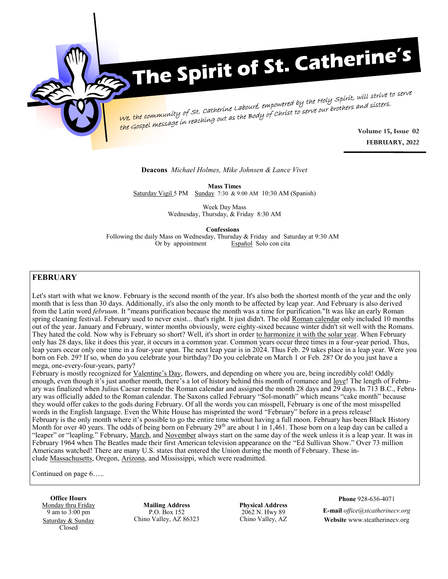

# The Spirit of St. Catherine's

We, the community of St. Catherine Labouré, empowered by the Holy Spirit, will strive to serve<br>We, the community of St. Catherine Labouré, empowered by the Holy Spirit, will sisters. <sup>1</sup> *Volume 15, Issue* 15, Issue 02<br><mark>the Gospel message in reaching out as the Body of Christ to serve our brothers and sisters.</mark>

**FEBRUARY, 2022**

#### **Deacons** *Michael Holmes, Mike Johnsen & Lance Vivet*

**Mass Times** Saturday Vigil 5 PM Sunday 7:30 & 9:00 AM 10:30 AM (Spanish)

> Week Day Mass Wednesday, Thursday, & Friday 8:30 AM

> > **Confessions**

Following the daily Mass on Wednesday, Thursday & Friday and Saturday at 9:30 AM Or by appointment Español Solo con cita

# **FEBRUARY**

Let's start with what we know. February is the second month of the year. It's also both the shortest month of the year and the only month that is less than 30 days. Additionally, it's also the only month to be affected by leap year. And February is also derived from the Latin word *februum.* It "means purification because the month was a time for purification."It was like an early Roman spring cleaning festival. February used to never exist... that's right. It just didn't. The old [Roman calendar](http://en.wikipedia.org/wiki/Roman_calendar) only included 10 months out of the year. January and February, winter months obviously, were eighty-sixed because winter didn't sit well with the Romans. They hated the cold. Now why is February so short? Well, it's short in order [to harmonize it with the solar year.](http://www.oxforddictionaries.com/us/definition/american_english/intercalary) When February only has 28 days, like it does this year, it occurs in a common year. Common years occur three times in a four-year period. Thus, leap years occur only one time in a four-year span. The next leap year is in 2024. Thus Feb. 29 takes place in a leap year. Were you born on Feb. 29? If so, when do you celebrate your birthday? Do you celebrate on March 1 or Feb. 28? Or do you just have a mega, one-every-four-years, party?

February is mostly recognized for [Valentine](https://www.thefactsite.com/tag/valentines-day/)'s Day, flowers, and depending on where you are, being incredibly cold! Oddly enough, even though it's just another month, there's a lot of history behind this month of romance and <u>love</u>! The length of February was finalized when Julius Caesar remade the Roman calendar and assigned the month 28 days and 29 days. In 713 B.C., February was officially added to the Roman calendar. The Saxons called February "Sol-monath" which means "cake month" because they would offer cakes to the gods during February. Of all the words you can misspell, February is one of the most misspelled words in the English language. Even the White House has misprinted the word "February" before in a press release! February is the only month where it's possible to go the entire time without having a full moon. February has been Black History Month for over 40 years. The odds of being born on February  $29<sup>th</sup>$  are about 1 in 1,461. Those born on a leap day can be called a "leaper" or "leapling." February, [March,](https://www.thefactsite.com/march-facts/) and [November](https://www.thefactsite.com/november-facts/) always start on the same day of the week unless it is a leap year. It was in February 1964 when The Beatles made their first American television appearance on the "Ed Sullivan Show." Over 73 million Americans watched! There are many U.S. states that entered the Union during the month of February. These include [Massachusetts,](https://www.thefactsite.com/massachusetts-facts/) Oregon, [Arizona,](https://www.thefactsite.com/arizona-facts/) and Mississippi, which were readmitted.

Continued on page 6…..

**Office Hours** Monday thru Friday 9 am to 3:00 pm Saturday & Sunday Closed

**Mailing Address** P.O. Box 152 Chino Valley, AZ 86323

**Physical Address** 2062 N. Hwy 89 Chino Valley, AZ

**Phone** 928-636-4071

**E-mail** *office@stcatherinecv.org* **Website** www.stcatherinecv.org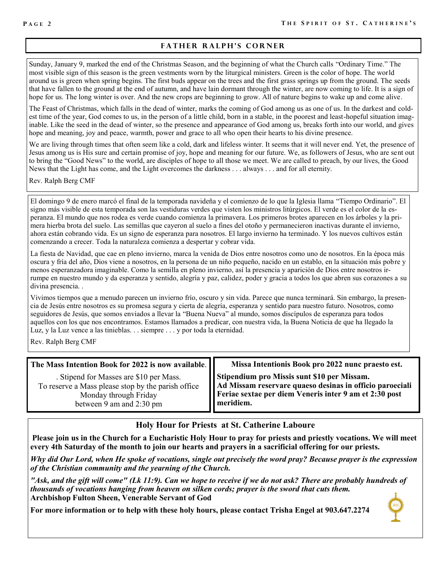# **FATHER RALPH'S CORNER**

Sunday, January 9, marked the end of the Christmas Season, and the beginning of what the Church calls "Ordinary Time." The most visible sign of this season is the green vestments worn by the liturgical ministers. Green is the color of hope. The world around us is green when spring begins. The first buds appear on the trees and the first grass springs up from the ground. The seeds that have fallen to the ground at the end of autumn, and have lain dormant through the winter, are now coming to life. It is a sign of hope for us. The long winter is over. And the new crops are beginning to grow. All of nature begins to wake up and come alive.

The Feast of Christmas, which falls in the dead of winter, marks the coming of God among us as one of us. In the darkest and coldest time of the year, God comes to us, in the person of a little child, born in a stable, in the poorest and least-hopeful situation imaginable. Like the seed in the dead of winter, so the presence and appearance of God among us, breaks forth into our world, and gives hope and meaning, joy and peace, warmth, power and grace to all who open their hearts to his divine presence.

We are living through times that often seem like a cold, dark and lifeless winter. It seems that it will never end. Yet, the presence of Jesus among us is His sure and certain promise of joy, hope and meaning for our future. We, as followers of Jesus, who are sent out to bring the "Good News" to the world, are disciples of hope to all those we meet. We are called to preach, by our lives, the Good News that the Light has come, and the Light overcomes the darkness . . . always . . . and for all eternity.

Rev. Ralph Berg CMF

El domingo 9 de enero marcó el final de la temporada navideña y el comienzo de lo que la Iglesia llama "Tiempo Ordinario". El signo más visible de esta temporada son las vestiduras verdes que visten los ministros litúrgicos. El verde es el color de la esperanza. El mundo que nos rodea es verde cuando comienza la primavera. Los primeros brotes aparecen en los árboles y la primera hierba brota del suelo. Las semillas que cayeron al suelo a fines del otoño y permanecieron inactivas durante el invierno, ahora están cobrando vida. Es un signo de esperanza para nosotros. El largo invierno ha terminado. Y los nuevos cultivos están comenzando a crecer. Toda la naturaleza comienza a despertar y cobrar vida.

La fiesta de Navidad, que cae en pleno invierno, marca la venida de Dios entre nosotros como uno de nosotros. En la época más oscura y fría del año, Dios viene a nosotros, en la persona de un niño pequeño, nacido en un establo, en la situación más pobre y menos esperanzadora imaginable. Como la semilla en pleno invierno, así la presencia y aparición de Dios entre nosotros irrumpe en nuestro mundo y da esperanza y sentido, alegría y paz, calidez, poder y gracia a todos los que abren sus corazones a su divina presencia. .

Vivimos tiempos que a menudo parecen un invierno frío, oscuro y sin vida. Parece que nunca terminará. Sin embargo, la presencia de Jesús entre nosotros es su promesa segura y cierta de alegría, esperanza y sentido para nuestro futuro. Nosotros, como seguidores de Jesús, que somos enviados a llevar la "Buena Nueva" al mundo, somos discípulos de esperanza para todos aquellos con los que nos encontramos. Estamos llamados a predicar, con nuestra vida, la Buena Noticia de que ha llegado la Luz, y la Luz vence a las tinieblas. . . siempre . . . y por toda la eternidad.

Rev. Ralph Berg CMF

#### **The Mass Intention Book for 2022 is now available**.

. Stipend for Masses are \$10 per Mass. To reserve a Mass please stop by the parish office Monday through Friday between 9 am and 2:30 pm

**Missa Intentionis Book pro 2022 nunc praesto est.**

**Stipendium pro Missis sunt \$10 per Missam. Ad Missam reservare quaeso desinas in officio paroeciali Feriae sextae per diem Veneris inter 9 am et 2:30 post meridiem.**

# **Holy Hour for Priests at St. Catherine Laboure**

**Please join us in the Church for a Eucharistic Holy Hour to pray for priests and priestly vocations. We will meet every 4th Saturday of the month to join our hearts and prayers in a sacrificial offering for our priests.**

*Why did Our Lord, when He spoke of vocations, single out precisely the word pray? Because prayer is the expression of the Christian community and the yearning of the Church.*

*"Ask, and the gift will come" (Lk 11:9). Can we hope to receive if we do not ask? There are probably hundreds of thousands of vocations hanging from heaven on silken cords; prayer is the sword that cuts them.*  **Archbishop Fulton Sheen, Venerable Servant of God**

**For more information or to help with these holy hours, please contact Trisha Engel at 903.647.2274**

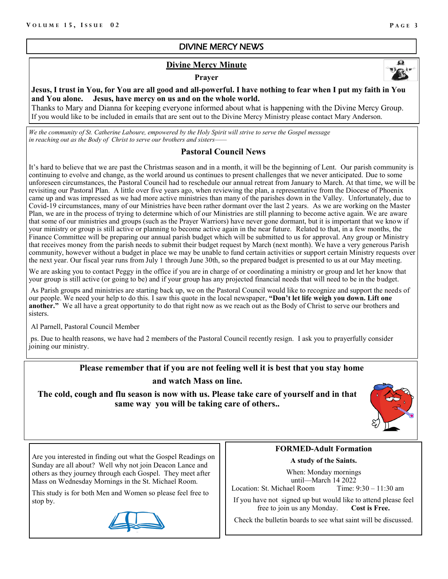# DIVINE MERCY NEWS

# **Divine Mercy Minute**

#### **Prayer**



**Jesus, I trust in You, for You are all good and all-powerful. I have nothing to fear when I put my faith in You and You alone. Jesus, have mercy on us and on the whole world.** 

Thanks to Mary and Dianna for keeping everyone informed about what is happening with the Divine Mercy Group. If you would like to be included in emails that are sent out to the Divine Mercy Ministry please contact Mary Anderson.

*We the community of St. Catherine Laboure, empowered by the Holy Spirit will strive to serve the Gospel message in reaching out as the Body of Christ to serve our brothers and sisters-*

# **Pastoral Council News**

It's hard to believe that we are past the Christmas season and in a month, it will be the beginning of Lent. Our parish community is continuing to evolve and change, as the world around us continues to present challenges that we never anticipated. Due to some unforeseen circumstances, the Pastoral Council had to reschedule our annual retreat from January to March. At that time, we will be revisiting our Pastoral Plan. A little over five years ago, when reviewing the plan, a representative from the Diocese of Phoenix came up and was impressed as we had more active ministries than many of the parishes down in the Valley. Unfortunately, due to Covid-19 circumstances, many of our Ministries have been rather dormant over the last 2 years. As we are working on the Master Plan, we are in the process of trying to determine which of our Ministries are still planning to become active again. We are aware that some of our ministries and groups (such as the Prayer Warriors) have never gone dormant, but it is important that we know if your ministry or group is still active or planning to become active again in the near future. Related to that, in a few months, the Finance Committee will be preparing our annual parish budget which will be submitted to us for approval. Any group or Ministry that receives money from the parish needs to submit their budget request by March (next month). We have a very generous Parish community, however without a budget in place we may be unable to fund certain activities or support certain Ministry requests over the next year. Our fiscal year runs from July 1 through June 30th, so the prepared budget is presented to us at our May meeting.

We are asking you to contact Peggy in the office if you are in charge of or coordinating a ministry or group and let her know that your group is still active (or going to be) and if your group has any projected financial needs that will need to be in the budget.

As Parish groups and ministries are starting back up, we on the Pastoral Council would like to recognize and support the needs of our people. We need your help to do this. I saw this quote in the local newspaper, **"Don't let life weigh you down. Lift one another."** We all have a great opportunity to do that right now as we reach out as the Body of Christ to serve our brothers and sisters.

Al Parnell, Pastoral Council Member

ps. Due to health reasons, we have had 2 members of the Pastoral Council recently resign. I ask you to prayerfully consider joining our ministry.

# **Please remember that if you are not feeling well it is best that you stay home and watch Mass on line.**

**The cold, cough and flu season is now with us. Please take care of yourself and in that same way you will be taking care of others..**



Are you interested in finding out what the Gospel Readings on Sunday are all about? Well why not join Deacon Lance and others as they journey through each Gospel. They meet after Mass on Wednesday Mornings in the St. Michael Room.

This study is for both Men and Women so please feel free to stop by.



# **FORMED-Adult Formation**

**A study of the Saints.**

When: Monday mornings until—March 14 2022 Location: St. Michael Room Time: 9:30 – 11:30 am

If you have not signed up but would like to attend please feel free to join us any Monday. **Cost is Free.**

Check the bulletin boards to see what saint will be discussed.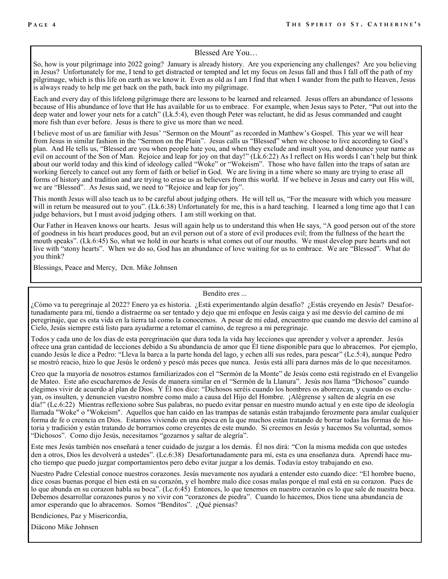#### Blessed Are You…

So, how is your pilgrimage into 2022 going? January is already history. Are you experiencing any challenges? Are you believing in Jesus? Unfortunately for me, I tend to get distracted or tempted and let my focus on Jesus fall and thus I fall off the path of my pilgrimage, which is this life on earth as we know it. Even as old as I am I find that when I wander from the path to Heaven, Jesus is always ready to help me get back on the path, back into my pilgrimage.

Each and every day of this lifelong pilgrimage there are lessons to be learned and relearned. Jesus offers an abundance of lessons because of His abundance of love that He has available for us to embrace. For example, when Jesus says to Peter, "Put out into the deep water and lower your nets for a catch" (Lk.5:4), even though Peter was reluctant, he did as Jesus commanded and caught more fish than ever before. Jesus is there to give us more than we need.

I believe most of us are familiar with Jesus' "Sermon on the Mount" as recorded in Matthew's Gospel. This year we will hear from Jesus in similar fashion in the "Sermon on the Plain". Jesus calls us "Blessed" when we choose to live according to God's plan. And He tells us, "Blessed are you when people hate you, and when they exclude and insult you, and denounce your name as evil on account of the Son of Man. Rejoice and leap for joy on that day!" (Lk.6:22) As I reflect on His words I can't help but think about our world today and this kind of ideology called "Woke" or "Wokeism". Those who have fallen into the traps of satan are working fiercely to cancel out any form of faith or belief in God. We are living in a time where so many are trying to erase all forms of history and tradition and are trying to erase us as believers from this world. If we believe in Jesus and carry out His will, we are "Blessed". As Jesus said, we need to "Rejoice and leap for joy".

This month Jesus will also teach us to be careful about judging others. He will tell us, "For the measure with which you measure will in return be measured out to you". (Lk.6:38) Unfortunately for me, this is a hard teaching. I learned a long time ago that I can judge behaviors, but I must avoid judging others. I am still working on that.

Our Father in Heaven knows our hearts. Jesus will again help us to understand this when He says, "A good person out of the store of goodness in his heart produces good, but an evil person out of a store of evil produces evil; from the fullness of the heart the mouth speaks". (Lk.6:45) So, what we hold in our hearts is what comes out of our mouths. We must develop pure hearts and not live with "stony hearts". When we do so, God has an abundance of love waiting for us to embrace. We are "Blessed". What do you think?

Blessings, Peace and Mercy, Dcn. Mike Johnsen

Bendito eres ...

¿Cómo va tu peregrinaje al 2022? Enero ya es historia. ¿Está experimentando algún desafío? ¿Estás creyendo en Jesús? Desafortunadamente para mí, tiendo a distraerme oa ser tentado y dejo que mi enfoque en Jesús caiga y así me desvío del camino de mi peregrinaje, que es esta vida en la tierra tal como la conocemos. A pesar de mi edad, encuentro que cuando me desvío del camino al Cielo, Jesús siempre está listo para ayudarme a retomar el camino, de regreso a mi peregrinaje.

Todos y cada uno de los días de esta peregrinación que dura toda la vida hay lecciones que aprender y volver a aprender. Jesús ofrece una gran cantidad de lecciones debido a Su abundancia de amor que Él tiene disponible para que lo abracemos. Por ejemplo, cuando Jesús le dice a Pedro: "Lleva la barca a la parte honda del lago, y echen allí sus redes, para pescar" (Lc.5:4), aunque Pedro se mostró reacio, hizo lo que Jesús le ordenó y pescó más peces que nunca. Jesús está allí para darnos más de lo que necesitamos.

Creo que la mayoría de nosotros estamos familiarizados con el "Sermón de la Monte" de Jesús como está registrado en el Evangelio de Mateo. Este año escucharemos de Jesús de manera similar en el "Sermón de la Llanura". Jesús nos llama "Dichosos" cuando elegimos vivir de acuerdo al plan de Dios. Y Él nos dice: "Dichosos seréis cuando los hombres os aborrezcan, y cuando os excluyan, os insulten, y denuncien vuestro nombre como malo a causa del Hijo del Hombre. ¡Alégrense y salten de alegría en ese día!" (Lc.6:22) Mientras reflexiono sobre Sus palabras, no puedo evitar pensar en nuestro mundo actual y en este tipo de ideología llamada "Woke" o "Wokeism". Aquellos que han caído en las trampas de satanás están trabajando ferozmente para anular cualquier forma de fe o creencia en Dios. Estamos viviendo en una época en la que muchos están tratando de borrar todas las formas de historia y tradición y están tratando de borrarnos como creyentes de este mundo. Si creemos en Jesús y hacemos Su voluntad, somos "Dichosos". Como dijo Jesús, necesitamos "gozarnos y saltar de alegría".

Este mes Jesús también nos enseñará a tener cuidado de juzgar a los demás. Él nos dirá: "Con la misma medida con que ustedes den a otros, Dios les devolverá a ustedes". (Lc.6:38) Desafortunadamente para mí, esta es una enseñanza dura. Aprendí hace mucho tiempo que puedo juzgar comportamientos pero debo evitar juzgar a los demás. Todavía estoy trabajando en eso.

Nuestro Padre Celestial conoce nuestros corazones. Jesús nuevamente nos ayudará a entender esto cuando dice: "El hombre bueno, dice cosas buenas porque el bien está en su corazón, y el hombre malo dice cosas malas porque el mal está en su corazon. Pues de lo que abunda en su corazon habla su boca". (Lc.6:45) Entonces, lo que tenemos en nuestro corazón es lo que sale de nuestra boca. Debemos desarrollar corazones puros y no vivir con "corazones de piedra". Cuando lo hacemos, Dios tiene una abundancia de amor esperando que lo abracemos. Somos "Benditos". ¿Qué piensas?

Bendiciones, Paz y Misericordia,

Diácono Mike Johnsen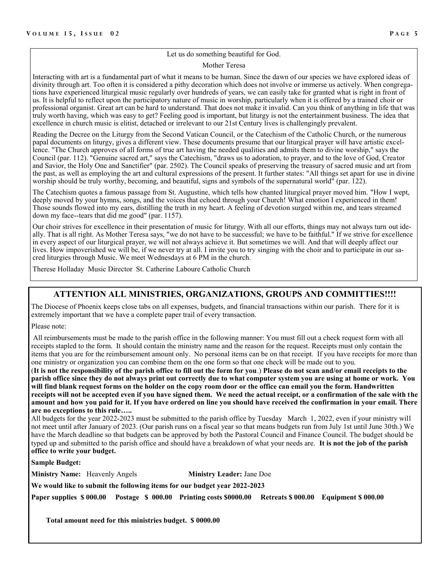#### Let us do something beautiful for God.

#### Mother Teresa

Interacting with art is a fundamental part of what it means to be human. Since the dawn of our species we have explored ideas of divinity through art. Too often it is considered a pithy decoration which does not involve or immerse us actively. When congregations have experienced liturgical music regularly over hundreds of years, we can easily take for granted what is right in front of us. It is helpful to reflect upon the participatory nature of music in worship, particularly when it is offered by a trained choir or professional organist. Great art can be hard to understand. That does not make it invalid. Can you think of anything in life that was truly worth having, which was easy to get? Feeling good is important, but liturgy is not the entertainment business. The idea that excellence in church music is elitist, detached or irrelevant to our 21st Century lives is challengingly prevalent.

Reading the Decree on the Liturgy from the Second Vatican Council, or the Catechism of the Catholic Church, or the numerous papal documents on liturgy, gives a different view. These documents presume that our liturgical prayer will have artistic excellence. "The Church approves of all forms of true art having the needed qualities and admits them to divine worship," says the Council (par. 112). "Genuine sacred art," says the Catechism, "draws us to adoration, to prayer, and to the love of God, Creator and Savior, the Holy One and Sanctifier" (par. 2502). The Council speaks of preserving the treasury of sacred music and art from the past, as well as employing the art and cultural expressions of the present. It further states: "All things set apart for use in divine worship should be truly worthy, becoming, and beautiful, signs and symbols of the supernatural world" (par. 122).

The Catechism quotes a famous passage from St. Augustine, which tells how chanted liturgical prayer moved him. "How I wept, deeply moved by your hymns, songs, and the voices that echoed through your Church! What emotion I experienced in them! Those sounds flowed into my ears, distilling the truth in my heart. A feeling of devotion surged within me, and tears streamed down my face--tears that did me good" (par. 1157).

Our choir strives for excellence in their presentation of music for liturgy. With all our efforts, things may not always turn out ideally. That is all right. As Mother Teresa says, "we do not have to be successful; we have to be faithful." If we strive for excellence in every aspect of our liturgical prayer, we will not always achieve it. But sometimes we will. And that will deeply affect our lives. How impoverished we will be, if we never try at all. I invite you to try singing with the choir and to participate in our sacred liturgies through Music. We meet Wednesdays at 6 PM in the church.

Therese Holladay Music Director St. Catherine Laboure Catholic Church

### **ATTENTION ALL MINISTRIES, ORGANIZATIONS, GROUPS AND COMMITTIES!!!!**

The Diocese of Phoenix keeps close tabs on all expenses, budgets, and financial transactions within our parish. There for it is extremely important that we have a complete paper trail of every transaction.

Please note:

All reimbursements must be made to the parish office in the following manner: You must fill out a check request form with all receipts stapled to the form. It should contain the ministry name and the reason for the request. Receipts must only contain the items that you are for the reimbursement amount only. No personal items can be on that receipt. If you have receipts for more than one ministry or organization you can combine them on the one form so that one check will be made out to you.

(**It is not the responsibility of the parish office to fill out the form for you**.) **Please do not scan and/or email receipts to the parish office since they do not always print out correctly due to what computer system you are using at home or work. You will find blank request forms on the holder on the copy room door or the office can email you the form. Handwritten receipts will not be accepted even if you have signed them. We need the actual receipt, or a confirmation of the sale with the amount and how you paid for it. If you have ordered on line you should have received the confirmation in your email. There are no exceptions to this rule…..** 

All budgets for the year 2022-2023 must be submitted to the parish office by Tuesday March 1, 2022, even if your ministry will not meet until after January of 2023. (Our parish runs on a fiscal year so that means budgets run from July 1st until June 30th.) We have the March deadline so that budgets can be approved by both the Pastoral Council and Finance Council. The budget should be typed up and submitted to the parish office and should have a breakdown of what your needs are. **It is not the job of the parish office to write your budget.**

**Sample Budget:**

**Ministry Name:** Heavenly Angels **Ministry Leader:** Jane Doe

**We would like to submit the following items for our budget year 2022-2023**

**Paper supplies \$ 000.00 Postage \$ 000.00 Printing costs \$0000.00 Retreats \$ 000.00 Equipment \$ 000.00**

 **Total amount need for this ministries budget. \$ 0000.00**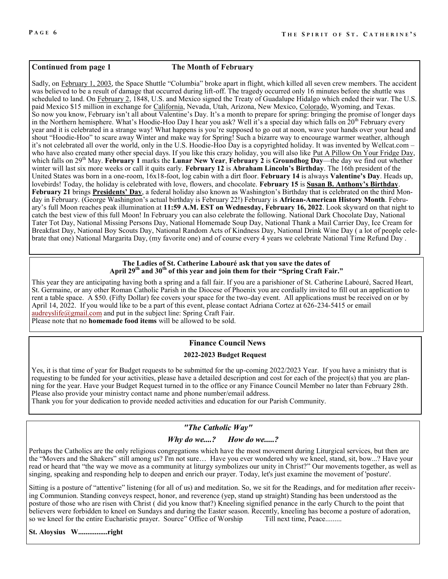#### **Continued from page 1 The Month of February**

Sadly, on [February 1, 2003,](https://www.thefactsite.com/day/february-1/) the Space Shuttle "Columbia" broke apart in flight, which killed all seven crew members. The accident was believed to be a result of damage that occurred during lift-off. The tragedy occurred only 16 minutes before the shuttle was scheduled to land. On [February 2,](https://www.thefactsite.com/day/february-2/) 1848, U.S. and Mexico signed the Treaty of Guadalupe Hidalgo which ended their war. The U.S. paid Mexico \$15 million in exchange for [California,](https://www.thefactsite.com/facts-about-california/) Nevada, Utah, Arizona, New Mexico, [Colorado,](https://www.thefactsite.com/colorado-facts/) Wyoming, and Texas. So now you know, February isn't all about Valentine's Day. It's a month to prepare for spring: bringing the promise of longer days in the Northern hemisphere. What's Hoodie-Hoo Day I hear you ask? Well it's a special day which falls on  $20<sup>th</sup>$  February every year and it is celebrated in a strange way! What happens is you're supposed to go out at noon, wave your hands over your head and shout "Hoodie-Hoo" to scare away Winter and make way for Spring! Such a bizarre way to encourage warmer weather, although it's not celebrated all over the world, only in the U.S. Hoodie-Hoo Day is a copyrighted holiday. It was invented by Wellcat.com – who have also created many other special days. If you like this crazy holiday, you will also like Put A Pillow On Your Fridge Day, which falls on 29th May. **February 1** marks the **Lunar New Year**, **February 2** is **Groundhog Day**—the day we find out whether winter will last six more weeks or call it quits early. **February 12** is **[Abraham Lincoln](https://www.almanac.com/calendar/date/2022-02-12)'s Birthday**. The 16th president of the United States was born in a one-room, 16x18-foot, log cabin with a dirt floor. **February 14** is always **Valentine's Day**. Heads up, lovebirds! Today, the holiday is celebrated with love, flowers, and chocolate. **February 15** is **[Susan B. Anthony](https://www.almanac.com/calendar/date/2022-02-15)'s Birthday**. **February 21** brings **[Presidents](https://www.almanac.com/content/when-presidents-day)' Day**, a federal holiday also known as Washington's Birthday that is celebrated on the third Monday in February. (George Washington's actual birthday is February 22!) February is **African-American History Month**. February's full Moon reaches peak illumination at **11:59 A.M. EST on Wednesday, February 16, 2022**. Look skyward on that night to catch the best view of this full Moon! In February you can also celebrate the following. [National Dark Chocolate Day,](https://nationaldaycalendar.com/national-dark-chocolate-day-february-1/) [National](https://nationaldaycalendar.com/national-tater-tot-day-february-2/)  [Tater Tot Day,](https://nationaldaycalendar.com/national-tater-tot-day-february-2/) [National Missing Persons Day,](https://nationaldaycalendar.com/national-missing-persons-day-february-3/) [National Homemade Soup Day,](http://nationaldaycalendar.com/national-homemade-soup-day-february-4th/) [National Thank a Mail Carrier Day,](https://nationaldaycalendar.com/national-thank-a-mailman-day-february-4/) [Ice Cream for](https://nationaldaycalendar.com/ice-cream-for-breakfast-day-first-saturday-in-february/)  [Breakfast Day,](https://nationaldaycalendar.com/ice-cream-for-breakfast-day-first-saturday-in-february/) [National Boy Scouts Day,](http://nationaldaycalendar.com/national-boy-scouts-day-february-8/) [National Random Acts of Kindness Day,](http://nationaldaycalendar.com/national-random-acts-of-kindness-day-february-17/) [National Drink Wine Day](http://nationaldaycalendar.com/national-drink-wine-day-february-18/) ( a lot of people celebrate that one) [National Margarita Day,](http://nationaldaycalendar.com/national-margarita-day-february-22/) (my favorite one) and of course every 4 years we celebrate [National Time Refund Day](https://nationaldaycalendar.com/national-time-refund-day-february-29/) .

#### **The Ladies of St. Catherine Labouré ask that you save the dates of April 29th and 30th of this year and join them for their "Spring Craft Fair."**

This year they are anticipating having both a spring and a fall fair. If you are a parishioner of St. Catherine Labouré, Sacred Heart, St. Germaine, or any other Roman Catholic Parish in the Diocese of Phoenix you are cordially invited to fill out an application to rent a table space. A \$50. (Fifty Dollar) fee covers your space for the two-day event. All applications must be received on or by April 14, 2022. If you would like to be a part of this event, please contact Adriana Cortez at 626-234-5415 or email [audreyslife@gmail.com](mailto:audreyslife@gmail.com) and put in the subject line: Spring Craft Fair. Please note that no **homemade food items** will be allowed to be sold.

#### **Finance Council News**

#### **2022-2023 Budget Request**

Yes, it is that time of year for Budget requests to be submitted for the up-coming 2022/2023 Year. If you have a ministry that is requesting to be funded for your activities, please have a detailed description and cost for each of the project(s) that you are planning for the year. Have your Budget Request turned in to the office or any Finance Council Member no later than February 28th. Please also provide your ministry contact name and phone number/email address.

Thank you for your dedication to provide needed activities and education for our Parish Community.

# *"The Catholic Way"*

# *Why do we....? How do we.....?*

Perhaps the Catholics are the only religious congregations which have the most movement during Liturgical services, but then are the "Movers and the Shakers" still among us? I'm not sure… Have you ever wondered why we kneel, stand, sit, bow...? Have your read or heard that "the way we move as a community at liturgy symbolizes our unity in Christ?" Our movements together, as well as singing, speaking and responding help to deepen and enrich our prayer. Today, let's just examine the movement of 'posture'.

Sitting is a posture of "attentive" listening (for all of us) and meditation. So, we sit for the Readings, and for meditation after receiving Communion. Standing conveys respect, honor, and reverence (yep, stand up straight) Standing has been understood as the posture of those who are risen with Christ ( did you know that?) Kneeling signified penance in the early Church to the point that believers were forbidden to kneel on Sundays and during the Easter season. Recently, kneeling has become a posture of adoration, so we kneel for the entire Eucharistic prayer. Source" Office of Worship Till next time, Peace.........

**St. Aloysius W................right**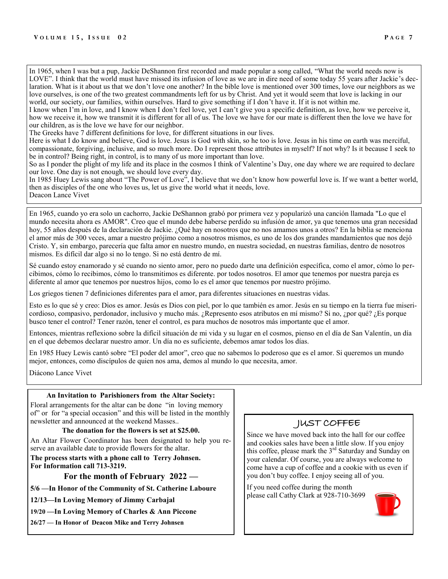In 1965, when I was but a pup, Jackie DeShannon first recorded and made popular a song called, "What the world needs now is LOVE". I think that the world must have missed its infusion of love as we are in dire need of some today 55 years after Jackie's declaration. What is it about us that we don't love one another? In the bible love is mentioned over 300 times, love our neighbors as we love ourselves, is one of the two greatest commandments left for us by Christ. And yet it would seem that love is lacking in our world, our society, our families, within ourselves. Hard to give something if I don't have it. If it is not within me.

I know when I'm in love, and I know when I don't feel love, yet I can't give you a specific definition, as love, how we perceive it, how we receive it, how we transmit it is different for all of us. The love we have for our mate is different then the love we have for our children, as is the love we have for our neighbor.

The Greeks have 7 different definitions for love, for different situations in our lives.

Here is what I do know and believe, God is love. Jesus is God with skin, so he too is love. Jesus in his time on earth was merciful, compassionate, forgiving, inclusive, and so much more. Do I represent those attributes in myself? If not why? Is it because I seek to be in control? Being right, in control, is to many of us more important than love.

So as I ponder the plight of my life and its place in the cosmos I think of Valentine's Day, one day where we are required to declare our love. One day is not enough, we should love every day.

In 1985 Huey Lewis sang about "The Power of Love", I believe that we don't know how powerful love is. If we want a better world, then as disciples of the one who loves us, let us give the world what it needs, love. Deacon Lance Vivet

En 1965, cuando yo era solo un cachorro, Jackie DeShannon grabó por primera vez y popularizó una canción llamada "Lo que el mundo necesita ahora es AMOR". Creo que el mundo debe haberse perdido su infusión de amor, ya que tenemos una gran necesidad hoy, 55 años después de la declaración de Jackie. ¿Qué hay en nosotros que no nos amamos unos a otros? En la biblia se menciona el amor más de 300 veces, amar a nuestro prójimo como a nosotros mismos, es uno de los dos grandes mandamientos que nos dejó Cristo. Y, sin embargo, parecería que falta amor en nuestro mundo, en nuestra sociedad, en nuestras familias, dentro de nosotros mismos. Es difícil dar algo si no lo tengo. Si no está dentro de mí.

Sé cuando estoy enamorado y sé cuando no siento amor, pero no puedo darte una definición específica, como el amor, cómo lo percibimos, cómo lo recibimos, cómo lo transmitimos es diferente. por todos nosotros. El amor que tenemos por nuestra pareja es diferente al amor que tenemos por nuestros hijos, como lo es el amor que tenemos por nuestro prójimo.

Los griegos tienen 7 definiciones diferentes para el amor, para diferentes situaciones en nuestras vidas.

Esto es lo que sé y creo: Dios es amor. Jesús es Dios con piel, por lo que también es amor. Jesús en su tiempo en la tierra fue misericordioso, compasivo, perdonador, inclusivo y mucho más. ¿Represento esos atributos en mí mismo? Si no, ¿por qué? ¿Es porque busco tener el control? Tener razón, tener el control, es para muchos de nosotros más importante que el amor.

Entonces, mientras reflexiono sobre la difícil situación de mi vida y su lugar en el cosmos, pienso en el día de San Valentín, un día en el que debemos declarar nuestro amor. Un día no es suficiente, debemos amar todos los días.

En 1985 Huey Lewis cantó sobre "El poder del amor", creo que no sabemos lo poderoso que es el amor. Si queremos un mundo mejor, entonces, como discípulos de quien nos ama, demos al mundo lo que necesita, amor.

Diácono Lance Vivet

#### **An Invitation to Parishioners from the Altar Society:**

Floral arrangements for the altar can be done "in loving memory of" or for "a special occasion" and this will be listed in the monthly newsletter and announced at the weekend Masses..

#### **The donation for the flowers is set at \$25.00.**

An Altar Flower Coordinator has been designated to help you reserve an available date to provide flowers for the altar.

**The process starts with a phone call to Terry Johnsen. For Information call 713-3219.**

**For the month of February 2022 —** 

**5/6 —In Honor of the Community of St. Catherine Laboure**

**12/13—In Loving Memory of Jimmy Carbajal**

**19/20 —In Loving Memory of Charles & Ann Piccone**

**26/27 — In Honor of Deacon Mike and Terry Johnsen**

# JUST COFFEE

Since we have moved back into the hall for our coffee and cookies sales have been a little slow. If you enjoy this coffee, please mark the 3<sup>rd</sup> Saturday and Sunday on your calendar. Of course, you are always welcome to come have a cup of coffee and a cookie with us even if you don't buy coffee. I enjoy seeing all of you.

If you need coffee during the month please call Cathy Clark at 928-710-3699

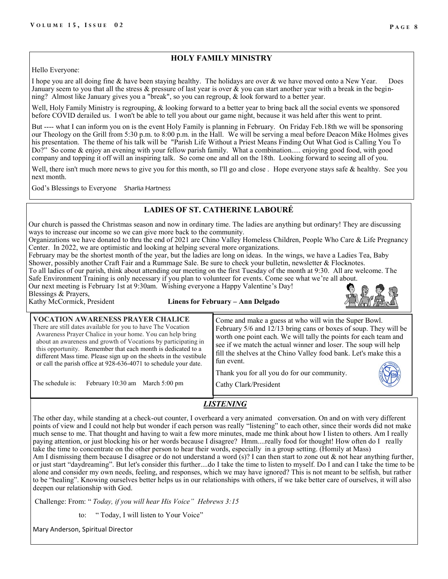# **HOLY FAMILY MINISTRY**

Hello Everyone:

I hope you are all doing fine & have been staying healthy. The holidays are over & we have moved onto a New Year. Does January seem to you that all the stress  $\&$  pressure of last year is over  $\&$  you can start another year with a break in the beginning? Almost like January gives you a "break", so you can regroup, & look forward to a better year.

Well, Holy Family Ministry is regrouping, & looking forward to a better year to bring back all the social events we sponsored before COVID derailed us. I won't be able to tell you about our game night, because it was held after this went to print.

But ---- what I can inform you on is the event Holy Family is planning in February. On Friday Feb.18th we will be sponsoring our Theology on the Grill from 5:30 p.m. to 8:00 p.m. in the Hall. We will be serving a meal before Deacon Mike Holmes gives his presentation. The theme of his talk will be "Parish Life Without a Priest Means Finding Out What God is Calling You To Do?" So come & enjoy an evening with your fellow parish family. What a combination..... enjoying good food, with good company and topping it off will an inspiring talk. So come one and all on the 18th. Looking forward to seeing all of you.

Well, there isn't much more news to give you for this month, so I'll go and close. Hope everyone stays safe & healthy. See you next month.

God's Blessings to Everyone Sharlia Hartness

# **LADIES OF ST. CATHERINE LABOURÉ**

Our church is passed the Christmas season and now in ordinary time. The ladies are anything but ordinary! They are discussing ways to increase our income so we can give more back to the community.

Organizations we have donated to thru the end of 2021 are Chino Valley Homeless Children, People Who Care & Life Pregnancy Center. In 2022, we are optimistic and looking at helping several more organizations.

February may be the shortest month of the year, but the ladies are long on ideas. In the wings, we have a Ladies Tea, Baby Shower, possibly another Craft Fair and a Rummage Sale. Be sure to check your bulletin, newsletter & Flocknotes.

To all ladies of our parish, think about attending our meeting on the first Tuesday of the month at 9:30. All are welcome. The Safe Environment Training is only necessary if you plan to volunteer for events. Come see what we're all about. Our next meeting is February 1st at 9:30am. Wishing everyone a Happy Valentine's Day!

Blessings & Prayers,

# Kathy McCormick, President **Linens for February – Ann Delgado**

| <b>VOCATION AWARENESS PRAYER CHALICE</b><br>There are still dates available for you to have The Vocation<br>Awareness Prayer Chalice in your home. You can help bring<br>about an awareness and growth of Vocations by participating in<br>this opportunity. Remember that each month is dedicated to a<br>different Mass time. Please sign up on the sheets in the vestibule<br>or call the parish office at 928-636-4071 to schedule your date.<br>The schedule is:<br>February 10:30 am March 5:00 pm | Come and make a guess at who will win the Super Bowl.<br>February 5/6 and 12/13 bring cans or boxes of soup. They will be<br>worth one point each. We will tally the points for each team and<br>see if we match the actual winner and loser. The soup will help<br>fill the shelves at the Chino Valley food bank. Let's make this a<br>I fun event.<br>Thank you for all you do for our community.<br>Cathy Clark/President |
|----------------------------------------------------------------------------------------------------------------------------------------------------------------------------------------------------------------------------------------------------------------------------------------------------------------------------------------------------------------------------------------------------------------------------------------------------------------------------------------------------------|-------------------------------------------------------------------------------------------------------------------------------------------------------------------------------------------------------------------------------------------------------------------------------------------------------------------------------------------------------------------------------------------------------------------------------|
|----------------------------------------------------------------------------------------------------------------------------------------------------------------------------------------------------------------------------------------------------------------------------------------------------------------------------------------------------------------------------------------------------------------------------------------------------------------------------------------------------------|-------------------------------------------------------------------------------------------------------------------------------------------------------------------------------------------------------------------------------------------------------------------------------------------------------------------------------------------------------------------------------------------------------------------------------|

# *LISTENING*

The other day, while standing at a check-out counter, I overheard a very animated conversation. On and on with very different points of view and I could not help but wonder if each person was really "listening" to each other, since their words did not make much sense to me. That thought and having to wait a few more minutes, made me think about how I listen to others. Am I really paying attention, or just blocking his or her words because I disagree? Hmm....really food for thought! How often do I really take the time to concentrate on the other person to hear their words, especially in a group setting. (Homily at Mass) Am I dismissing them because I disagree or do not understand a word (s)? I can then start to zone out  $\&$  not hear anything further, or just start "daydreaming". But let's consider this further....do I take the time to listen to myself. Do I and can I take the time to be alone and consider my own needs, feeling, and responses, which we may have ignored? This is not meant to be selfish, but rather to be "healing". Knowing ourselves better helps us in our relationships with others, if we take better care of ourselves, it will also deepen our relationship with God.

Challenge: From: " *Today, if you will hear His Voice" Hebrews 3:15*

to: " Today, I will listen to Your Voice"

Mary Anderson, Spiritual Director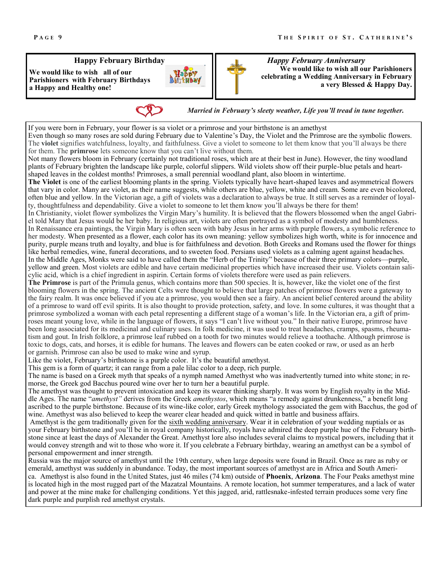#### **Happy February Birthday**

**We would like to wish all of our Parishioners with February Birthdays a Happy and Healthy one!** 



*Happy February Anniversary*  **We would like to wish all our Parishioners celebrating a Wedding Anniversary in February a very Blessed & Happy Day.** 

If you were born in February, your flower is sa violet or a primrose and your birthstone is an amethyst Even though so many roses are sold during February due to Valentine's Day, the Violet and the Primrose are the symbolic flowers. The **violet** signifies watchfulness, loyalty, and faithfulness. Give a violet to someone to let them know that you'll always be there for them. The **primrose** lets someone know that you can't live without them. Not many flowers bloom in February (certainly not traditional roses, which are at their best in June). However, the tiny woodland plants of February brighten the landscape like purple, colorful slippers. Wild violets show off their purple-blue petals and heartshaped leaves in the coldest months! Primroses, a small perennial woodland plant, also bloom in wintertime. **The Violet** is one of the earliest blooming plants in the spring. Violets typically have heart-shaped leaves and asymmetrical flowers that vary in color. Many are violet, as their name suggests, while others are blue, yellow, white and cream. Some are even bicolored, often blue and yellow. In the Victorian age, a gift of violets was a declaration to always be true. It still serves as a reminder of loyalty, thoughtfulness and dependability. Give a violet to someone to let them know you'll always be there for them! In Christianity, violet flower symbolizes the Virgin Mary's humility. It is believed that the flowers blossomed when the angel Gabriel told Mary that Jesus would be her baby. In religious art, violets are often portrayed as a symbol of modesty and humbleness. In Renaissance era paintings, the Virgin Mary is often seen with baby Jesus in her arms with purple flowers, a symbolic reference to her modesty. When presented as a flower, each color has its own meaning: yellow symbolizes high worth, white is for innocence and purity, purple means truth and loyalty, and blue is for faithfulness and devotion. Both Greeks and Romans used the flower for things like herbal remedies, wine, funeral decorations, and to sweeten food. Persians used violets as a calming agent against headaches. In the Middle Ages, Monks were said to have called them the "Herb of the Trinity" because of their three primary colors—purple, yellow and green. Most violets are edible and have certain medicinal properties which have increased their use. Violets contain salicylic acid, which is a chief ingredient in aspirin. Certain forms of violets therefore were used as pain relievers. **The Primrose** is part of the Primula genus, which contains more than 500 species. It is, however, like the violet one of the first blooming flowers in the spring. The ancient Celts were thought to believe that large patches of primrose flowers were a gateway to the fairy realm. It was once believed if you ate a primrose, you would then see a fairy. An ancient belief centered around the ability of a primrose to ward off evil spirits. It is also thought to provide protection, safety, and love. In some cultures, it was thought that a primrose symbolized a woman with each petal representing a different stage of a woman's life. In the Victorian era, a gift of primroses meant young love, while in the language of flowers, it says "I can't live without you." In their native Europe, primrose have been long associated for its medicinal and culinary uses. In folk medicine, it was used to treat headaches, cramps, spasms, rheumatism and gout. In Irish folklore, a primrose leaf rubbed on a tooth for two minutes would relieve a toothache. Although primrose is toxic to dogs, cats, and horses, it is edible for humans. The leaves and flowers can be eaten cooked or raw, or used as an herb or garnish. Primrose can also be used to make wine and syrup. Like the violet, February's birthstone is a purple color. It's the beautiful amethyst. This gem is a form of quartz; it can range from a pale lilac color to a deep, rich purple. The name is based on a Greek myth that speaks of a nymph named Amethyst who was inadvertently turned into white stone; in remorse, the Greek god Bacchus poured wine over her to turn her a beautiful purple. The amethyst was thought to prevent intoxication and keep its wearer thinking sharply. It was worn by English royalty in the Middle Ages. The name "*amethyst"* derives from the Greek *amethystos*, which means "a remedy against drunkenness," a benefit long ascribed to the purple birthstone. Because of its wine-like color, early Greek mythology associated the gem with Bacchus, the god of wine. Amethyst was also believed to keep the wearer clear headed and quick witted in battle and business affairs. *Married in February's sleety weather, Life you'll tread in tune together.*

Amethyst is the gem traditionally given for the [sixth wedding anniversary.](http://4cs.gia.edu/en-us/blog/wedding-anniversary-gemstone-years-one-through-ten/) Wear it in celebration of your wedding nuptials or as your February birthstone and you'll be in royal company historically, royals have admired the deep purple hue of the February birthstone since at least the days of Alexander the Great. Amethyst lore also includes several claims to mystical powers, including that it would convey strength and wit to those who wore it. If you celebrate a February birthday, wearing an amethyst can be a symbol of personal empowerment and inner strength.

Russia was the major source of amethyst until the 19th century, when large deposits were found in Brazil. Once as rare as ruby or emerald, amethyst was suddenly in abundance. Today, the most important sources of amethyst are in Africa and South America. Amethyst is also found in the United States, just 46 miles (74 km) outside of **Phoenix**, **Arizona**. The Four Peaks amethyst mine is located high in the most rugged part of the Mazatzal Mountains. A remote location, hot summer temperatures, and a lack of water and power at the mine make for challenging conditions. Yet this jagged, arid, rattlesnake-infested terrain produces some very fine dark purple and purplish red amethyst crystals.

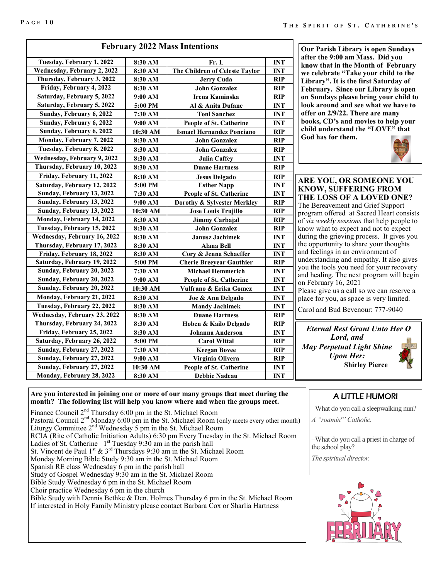| <b>February 2022 Mass Intentions</b> |          |                                  |            |  |
|--------------------------------------|----------|----------------------------------|------------|--|
| Tuesday, February 1, 2022            | 8:30 AM  | Fr. L                            | <b>INT</b> |  |
| Wednesday, February 2, 2022          | 8:30 AM  | The Children of Celeste Taylor   | <b>INT</b> |  |
| Thursday, February 3, 2022           | 8:30 AM  | <b>Jerry Cuda</b>                | RIP        |  |
| Friday, February 4, 2022             | 8:30 AM  | <b>John Gonzalez</b>             | RIP        |  |
| Saturday, February 5, 2022           | 9:00 AM  | Irena Kaminska                   | <b>RIP</b> |  |
| Saturday, February 5, 2022           | 5:00 PM  | Al & Anita Dufane                | <b>INT</b> |  |
| Sunday, February 6, 2022             | 7:30 AM  | <b>Toni Sanchez</b>              | <b>INT</b> |  |
| Sunday, February 6, 2022             | 9:00 AM  | <b>People of St. Catherine</b>   | <b>INT</b> |  |
| Sunday, February 6, 2022             | 10:30 AM | <b>Ismael Hernandez Ponciano</b> | RIP        |  |
| Monday, February 7, 2022             | 8:30 AM  | <b>John Gonzalez</b>             | RIP        |  |
| Tuesday, February 8, 2022            | 8:30 AM  | <b>John Gonzalez</b>             | RIP        |  |
| Wednesday, February 9, 2022          | 8:30 AM  | <b>Julia Caffey</b>              | <b>INT</b> |  |
| Thursday, February 10, 2022          | 8:30 AM  | <b>Duane Hartness</b>            | <b>RIP</b> |  |
| Friday, February 11, 2022            | 8:30 AM  | <b>Jesus Delgado</b>             | RIP        |  |
| Saturday, February 12, 2022          | 5:00 PM  | <b>Esther Napp</b>               | <b>INT</b> |  |
| Sunday, February 13, 2022            | 7:30 AM  | People of St. Catherine          | <b>INT</b> |  |
| Sunday, February 13, 2022            | 9:00 AM  | Dorothy & Sylvester Merkley      | <b>RIP</b> |  |
| Sunday, February 13, 2022            | 10:30 AM | <b>Jose Louis Trujillo</b>       | <b>RIP</b> |  |
| Monday, February 14, 2022            | 8:30 AM  | <b>Jimmy Carbajal</b>            | RIP        |  |
| Tuesday, February 15, 2022           | 8:30 AM  | <b>John Gonzalez</b>             | <b>RIP</b> |  |
| Wednesday, February 16, 2022         | 8:30 AM  | <b>Janusz Jachimek</b>           | <b>INT</b> |  |
| Thursday, February 17, 2022          | 8:30 AM  | <b>Alana Bell</b>                | <b>INT</b> |  |
| Friday, February 18, 2022            | 8:30 AM  | Cory & Jenna Schaeffer           | <b>INT</b> |  |
| Saturday, February 19, 2022          | 5:00 PM  | <b>Cherie Breeyear Gauthier</b>  | RIP        |  |
| Sunday, February 20, 2022            | 7:30 AM  | <b>Michael Hemmerich</b>         | <b>INT</b> |  |
| Sunday, February 20, 2022            | 9:00 AM  | <b>People of St. Catherine</b>   | <b>INT</b> |  |
| Sunday, February 20, 2022            | 10:30 AM | Vulfrano & Erika Gomez           | <b>INT</b> |  |
| Monday, February 21, 2022            | 8:30 AM  | Joe & Ann Delgado                | <b>INT</b> |  |
| Tuesday, February 22, 2022           | 8:30 AM  | <b>Mandy Jachimek</b>            | <b>INT</b> |  |
| Wednesday, February 23, 2022         | 8:30 AM  | <b>Duane Hartness</b>            | <b>RIP</b> |  |
| Thursday, February 24, 2022          | 8:30 AM  | Hoben & Kailo Delgado            | RIP        |  |
| Friday, February 25, 2022            | 8:30 AM  | Johanna Anderson                 | <b>INT</b> |  |
| Saturday, February 26, 2022          | 5:00 PM  | <b>Carol Wittal</b>              | <b>RIP</b> |  |
| Sunday, February 27, 2022            | 7:30 AM  | <b>Keegan Bovee</b>              | <b>RIP</b> |  |
| Sunday, February 27, 2022            | 9:00 AM  | Virginia Olivera                 | <b>RIP</b> |  |
| Sunday, February 27, 2022            | 10:30 AM | <b>People of St. Catherine</b>   | <b>INT</b> |  |
| Monday, February 28, 2022            | 8:30 AM  | <b>Debbie Nadeau</b>             | <b>INT</b> |  |

**Our Parish Library is open Sundays after the 9:00 am Mass. Did you know that in the Month of February we celebrate "Take your child to the Library". It is the first Saturday of February. Since our Library is open on Sundays please bring your child to look around and see what we have to offer on 2/9/22. There are many books, CD's and movies to help your child understand the "LOVE" that God has for them.**



**ARE YOU, OR SOMEONE YOU KNOW, SUFFERING FROM THE LOSS OF A LOVED ONE?** The Bereavement and Grief Support program offered at Sacred Heart consists of *six weekly sessions* that help people to know what to expect and not to expect during the grieving process. It gives you the opportunity to share your thoughts and feelings in an environment of understanding and empathy. It also gives you the tools you need for your recovery and healing. The next program will begin on February 16, 2021

Please give us a call so we can reserve a place for you, as space is very limited.

Carol and Bud Bevenour: 777-9040

*Eternal Rest Grant Unto Her O Lord, and May Perpetual Light Shine Upon Her:*  **Shirley Pierce**

#### **Are you interested in joining one or more of our many groups that meet during the month? The following list will help you know where and when the groups meet.**

Finance Council 2<sup>nd</sup> Thursday 6:00 pm in the St. Michael Room Pastoral Council  $2^{nd}$  Monday 6:00 pm in the St. Michael Room (only meets every other month) Liturgy Committee  $2<sup>nd</sup>$  Wednesday 5 pm in the St. Michael Room RCIA (Rite of Catholic Initiation Adults) 6:30 pm Every Tuesday in the St. Michael Room Ladies of St. Catherine  $1^{st}$  Tuesday 9:30 am in the parish hall St. Vincent de Paul  $1^{\text{st}}$  &  $3^{\text{rd}}$  Thursdays 9:30 am in the St. Michael Room Monday Morning Bible Study 9:30 am in the St. Michael Room Spanish RE class Wednesday 6 pm in the parish hall Study of Gospel Wednesday 9:30 am in the St. Michael Room Bible Study Wednesday 6 pm in the St. Michael Room Choir practice Wednesday 6 pm in the church

Bible Study with Dennis Bethke & Dcn. Holmes Thursday 6 pm in the St. Michael Room If interested in Holy Family Ministry please contact Barbara Cox or Sharlia Hartness

# A LITTLE HUMOR!

–What do you call a sleepwalking nun? *A "roamin'" Catholic.*

–What do you call a priest in charge of the school play?

*The spiritual director.*

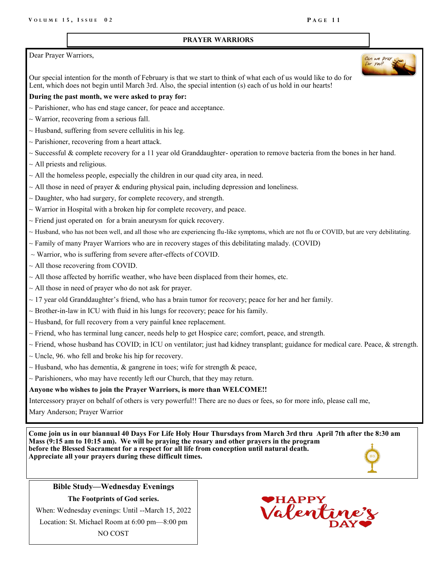#### **Prayer Warriors**

#### Dear Prayer Warriors,

Our special intention for the month of February is that we start to think of what each of us would like to do for Lent, which does not begin until March 3rd. Also, the special intention (s) each of us hold in our hearts!

### **During the past month, we were asked to pray for:**

- $\sim$  Parishioner, who has end stage cancer, for peace and acceptance.
- $\sim$  Warrior, recovering from a serious fall.
- $\sim$  Husband, suffering from severe cellulitis in his leg.
- $\sim$  Parishioner, recovering from a heart attack.
- $\sim$  Successful & complete recovery for a 11 year old Granddaughter- operation to remove bacteria from the bones in her hand.
- $\sim$  All priests and religious.
- $\sim$  All the homeless people, especially the children in our quad city area, in need.
- $\sim$  All those in need of prayer & enduring physical pain, including depression and loneliness.
- $\sim$  Daughter, who had surgery, for complete recovery, and strength.
- $\sim$  Warrior in Hospital with a broken hip for complete recovery, and peace.
- $\sim$  Friend just operated on for a brain aneurysm for quick recovery.
- $\sim$  Husband, who has not been well, and all those who are experiencing flu-like symptoms, which are not flu or COVID, but are very debilitating.
- $\sim$  Family of many Prayer Warriors who are in recovery stages of this debilitating malady. (COVID)
- $\sim$  Warrior, who is suffering from severe after-effects of COVID.
- $\sim$  All those recovering from COVID.
- $\sim$  All those affected by horrific weather, who have been displaced from their homes, etc.
- $\sim$  All those in need of prayer who do not ask for prayer.
- $\sim$  17 year old Granddaughter's friend, who has a brain tumor for recovery; peace for her and her family.
- $\sim$  Brother-in-law in ICU with fluid in his lungs for recovery; peace for his family.
- $\sim$  Husband, for full recovery from a very painful knee replacement.
- $\sim$  Friend, who has terminal lung cancer, needs help to get Hospice care; comfort, peace, and strength.
- ~ Friend, whose husband has COVID; in ICU on ventilator; just had kidney transplant; guidance for medical care. Peace, & strength.
- $\sim$  Uncle, 96. who fell and broke his hip for recovery.
- $\sim$  Husband, who has dementia, & gangrene in toes; wife for strength & peace,
- $\sim$  Parishioners, who may have recently left our Church, that they may return.

# **Anyone who wishes to join the Prayer Warriors, is more than WELCOME!!**

Intercessory prayer on behalf of others is very powerful!! There are no dues or fees, so for more info, please call me,

Mary Anderson; Prayer Warrior

**Come join us in our biannual 40 Days For Life Holy Hour Thursdays from March 3rd thru April 7th after the 8:30 am Mass (9:15 am to 10:15 am). We will be praying the rosary and other prayers in the program before the Blessed Sacrament for a respect for all life from conception until natural death. Appreciate all your prayers during these difficult times.**



**Bible Study—Wednesday Evenings The Footprints of God series.**

When: Wednesday evenings: Until --March 15, 2022

Location: St. Michael Room at 6:00 pm—8:00 pm

NO COST